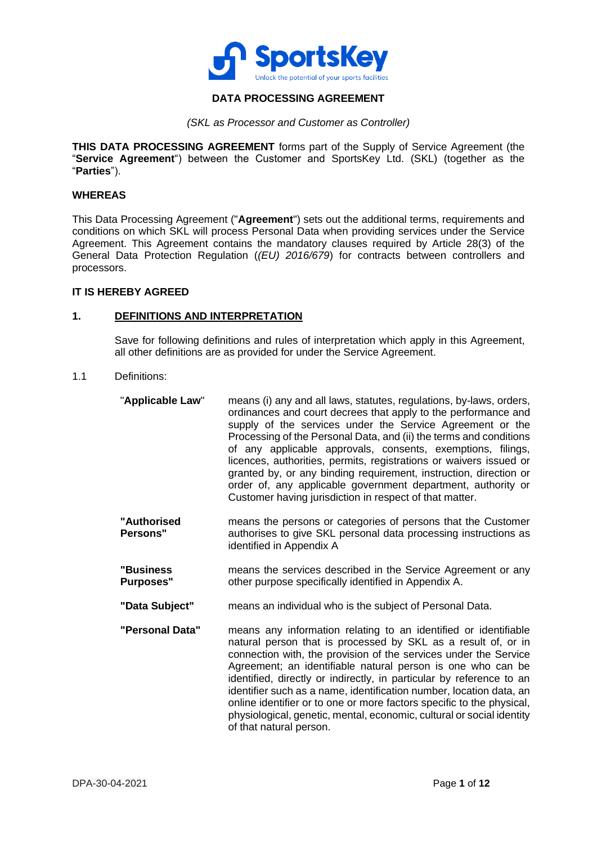

# **DATA PROCESSING AGREEMENT**

*(SKL as Processor and Customer as Controller)*

**THIS DATA PROCESSING AGREEMENT** forms part of the Supply of Service Agreement (the "**Service Agreement**") between the Customer and SportsKey Ltd. (SKL) (together as the "**Parties**").

#### **WHEREAS**

This Data Processing Agreement ("**Agreement**") sets out the additional terms, requirements and conditions on which SKL will process Personal Data when providing services under the Service Agreement. This Agreement contains the mandatory clauses required by Article 28(3) of the General Data Protection Regulation (*(EU) 2016/679*) for contracts between controllers and processors.

#### **IT IS HEREBY AGREED**

# **1. DEFINITIONS AND INTERPRETATION**

Save for following definitions and rules of interpretation which apply in this Agreement, all other definitions are as provided for under the Service Agreement.

#### 1.1 Definitions:

- "**Applicable Law**" means (i) any and all laws, statutes, regulations, by-laws, orders, ordinances and court decrees that apply to the performance and supply of the services under the Service Agreement or the Processing of the Personal Data, and (ii) the terms and conditions of any applicable approvals, consents, exemptions, filings, licences, authorities, permits, registrations or waivers issued or granted by, or any binding requirement, instruction, direction or order of, any applicable government department, authority or Customer having jurisdiction in respect of that matter.
- **"Authorised Persons"** means the persons or categories of persons that the Customer authorises to give SKL personal data processing instructions as identified in [Appendix A](#page-10-0)
- **"Business Purposes"** means the services described in the Service Agreement or any other purpose specifically identified in [Appendix A.](#page-10-0)
- **"Data Subject"** means an individual who is the subject of Personal Data.
- **"Personal Data"** means any information relating to an identified or identifiable natural person that is processed by SKL as a result of, or in connection with, the provision of the services under the Service Agreement; an identifiable natural person is one who can be identified, directly or indirectly, in particular by reference to an identifier such as a name, identification number, location data, an online identifier or to one or more factors specific to the physical, physiological, genetic, mental, economic, cultural or social identity of that natural person.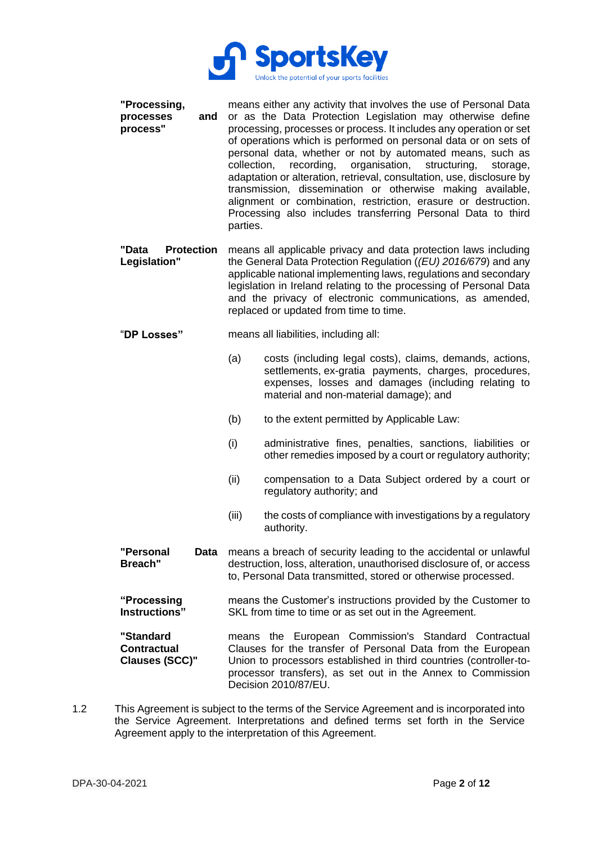

| "Processing,<br>processes<br>process" | means either any activity that involves the use of Personal Data<br>and or as the Data Protection Legislation may otherwise define<br>processing, processes or process. It includes any operation or set<br>of operations which is performed on personal data or on sets of                                                                                                                                  |
|---------------------------------------|--------------------------------------------------------------------------------------------------------------------------------------------------------------------------------------------------------------------------------------------------------------------------------------------------------------------------------------------------------------------------------------------------------------|
|                                       | personal data, whether or not by automated means, such as<br>collection, recording, organisation, structuring, storage,<br>adaptation or alteration, retrieval, consultation, use, disclosure by<br>transmission, dissemination or otherwise making available,<br>alignment or combination, restriction, erasure or destruction.<br>Processing also includes transferring Personal Data to third<br>parties. |

**"Data Protection**  means all applicable privacy and data protection laws including **Legislation"** the General Data Protection Regulation (*(EU) 2016/679*) and any applicable national implementing laws, regulations and secondary legislation in Ireland relating to the processing of Personal Data and the privacy of electronic communications, as amended, replaced or updated from time to time.

- "**DP Losses"** means all liabilities, including all:
	- (a) costs (including legal costs), claims, demands, actions, settlements, ex-gratia payments, charges, procedures, expenses, losses and damages (including relating to material and non-material damage); and
	- (b) to the extent permitted by Applicable Law:
	- (i) administrative fines, penalties, sanctions, liabilities or other remedies imposed by a court or regulatory authority;
	- (ii) compensation to a Data Subject ordered by a court or regulatory authority; and
	- (iii) the costs of compliance with investigations by a regulatory authority.
- **"Personal Breach"** Data means a breach of security leading to the accidental or unlawful destruction, loss, alteration, unauthorised disclosure of, or access to, Personal Data transmitted, stored or otherwise processed.
- **"Processing Instructions"** means the Customer's instructions provided by the Customer to SKL from time to time or as set out in the Agreement.

**"Standard Contractual Clauses (SCC)"** means the European Commission's Standard Contractual Clauses for the transfer of Personal Data from the European Union to processors established in third countries (controller-toprocessor transfers), as set out in the Annex to Commission Decision 2010/87/EU.

1.2 This Agreement is subject to the terms of the Service Agreement and is incorporated into the Service Agreement. Interpretations and defined terms set forth in the Service Agreement apply to the interpretation of this Agreement.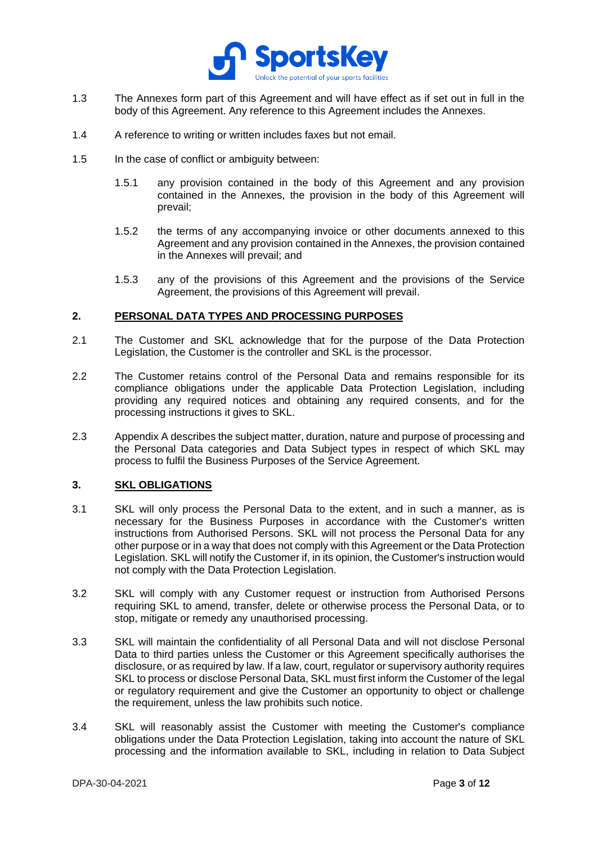

- 1.3 The Annexes form part of this Agreement and will have effect as if set out in full in the body of this Agreement. Any reference to this Agreement includes the Annexes.
- 1.4 A reference to writing or written includes faxes but not email.
- 1.5 In the case of conflict or ambiguity between:
	- 1.5.1 any provision contained in the body of this Agreement and any provision contained in the Annexes, the provision in the body of this Agreement will prevail;
	- 1.5.2 the terms of any accompanying invoice or other documents annexed to this Agreement and any provision contained in the Annexes, the provision contained in the Annexes will prevail; and
	- 1.5.3 any of the provisions of this Agreement and the provisions of the Service Agreement, the provisions of this Agreement will prevail.

#### **2. PERSONAL DATA TYPES AND PROCESSING PURPOSES**

- 2.1 The Customer and SKL acknowledge that for the purpose of the Data Protection Legislation, the Customer is the controller and SKL is the processor.
- 2.2 The Customer retains control of the Personal Data and remains responsible for its compliance obligations under the applicable Data Protection Legislation, including providing any required notices and obtaining any required consents, and for the processing instructions it gives to SKL.
- 2.3 [Appendix A](#page-10-0) describes the subject matter, duration, nature and purpose of processing and the Personal Data categories and Data Subject types in respect of which SKL may process to fulfil the Business Purposes of the Service Agreement.

# **3. SKL OBLIGATIONS**

- 3.1 SKL will only process the Personal Data to the extent, and in such a manner, as is necessary for the Business Purposes in accordance with the Customer's written instructions from Authorised Persons. SKL will not process the Personal Data for any other purpose or in a way that does not comply with this Agreement or the Data Protection Legislation. SKL will notify the Customer if, in its opinion, the Customer's instruction would not comply with the Data Protection Legislation.
- 3.2 SKL will comply with any Customer request or instruction from Authorised Persons requiring SKL to amend, transfer, delete or otherwise process the Personal Data, or to stop, mitigate or remedy any unauthorised processing.
- 3.3 SKL will maintain the confidentiality of all Personal Data and will not disclose Personal Data to third parties unless the Customer or this Agreement specifically authorises the disclosure, or as required by law. If a law, court, regulator or supervisory authority requires SKL to process or disclose Personal Data, SKL must first inform the Customer of the legal or regulatory requirement and give the Customer an opportunity to object or challenge the requirement, unless the law prohibits such notice.
- 3.4 SKL will reasonably assist the Customer with meeting the Customer's compliance obligations under the Data Protection Legislation, taking into account the nature of SKL processing and the information available to SKL, including in relation to Data Subject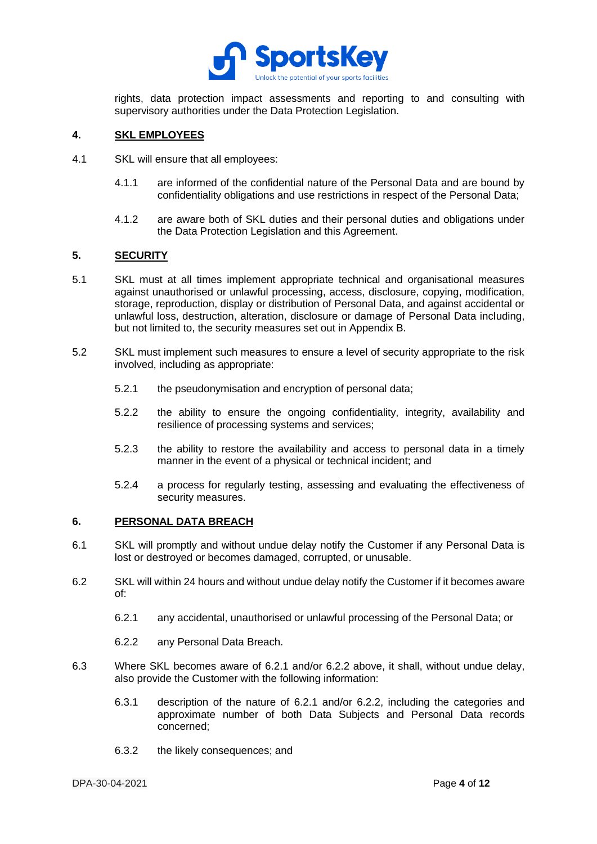

rights, data protection impact assessments and reporting to and consulting with supervisory authorities under the Data Protection Legislation.

# **4. SKL EMPLOYEES**

- 4.1 SKL will ensure that all employees:
	- 4.1.1 are informed of the confidential nature of the Personal Data and are bound by confidentiality obligations and use restrictions in respect of the Personal Data;
	- 4.1.2 are aware both of SKL duties and their personal duties and obligations under the Data Protection Legislation and this Agreement.

#### **5. SECURITY**

- <span id="page-3-0"></span>5.1 SKL must at all times implement appropriate technical and organisational measures against unauthorised or unlawful processing, access, disclosure, copying, modification, storage, reproduction, display or distribution of Personal Data, and against accidental or unlawful loss, destruction, alteration, disclosure or damage of Personal Data including, but not limited to, the security measures set out in Appendix B.
- 5.2 SKL must implement such measures to ensure a level of security appropriate to the risk involved, including as appropriate:
	- 5.2.1 the pseudonymisation and encryption of personal data;
	- 5.2.2 the ability to ensure the ongoing confidentiality, integrity, availability and resilience of processing systems and services;
	- 5.2.3 the ability to restore the availability and access to personal data in a timely manner in the event of a physical or technical incident; and
	- 5.2.4 a process for regularly testing, assessing and evaluating the effectiveness of security measures.

#### **6. PERSONAL DATA BREACH**

- 6.1 SKL will promptly and without undue delay notify the Customer if any Personal Data is lost or destroyed or becomes damaged, corrupted, or unusable.
- 6.2 SKL will within 24 hours and without undue delay notify the Customer if it becomes aware of:
	- 6.2.1 any accidental, unauthorised or unlawful processing of the Personal Data; or
	- 6.2.2 any Personal Data Breach.
- 6.3 Where SKL becomes aware of 6.2.1 and/or 6.2.2 above, it shall, without undue delay, also provide the Customer with the following information:
	- 6.3.1 description of the nature of 6.2.1 and/or 6.2.2, including the categories and approximate number of both Data Subjects and Personal Data records concerned;
	- 6.3.2 the likely consequences; and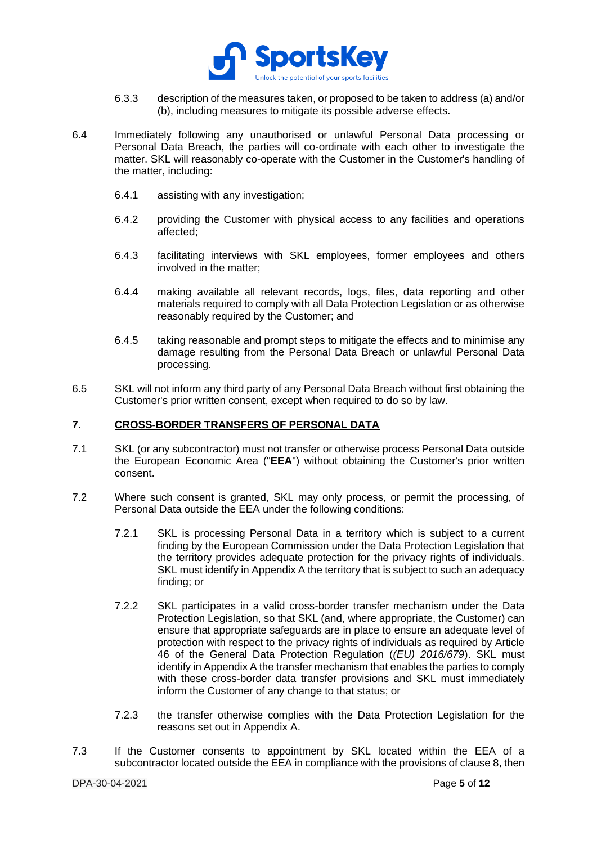

- 6.3.3 description of the measures taken, or proposed to be taken to address (a) and/or (b), including measures to mitigate its possible adverse effects.
- 6.4 Immediately following any unauthorised or unlawful Personal Data processing or Personal Data Breach, the parties will co-ordinate with each other to investigate the matter. SKL will reasonably co-operate with the Customer in the Customer's handling of the matter, including:
	- 6.4.1 assisting with any investigation;
	- 6.4.2 providing the Customer with physical access to any facilities and operations affected;
	- 6.4.3 facilitating interviews with SKL employees, former employees and others involved in the matter;
	- 6.4.4 making available all relevant records, logs, files, data reporting and other materials required to comply with all Data Protection Legislation or as otherwise reasonably required by the Customer; and
	- 6.4.5 taking reasonable and prompt steps to mitigate the effects and to minimise any damage resulting from the Personal Data Breach or unlawful Personal Data processing.
- 6.5 SKL will not inform any third party of any Personal Data Breach without first obtaining the Customer's prior written consent, except when required to do so by law.

### **7. CROSS-BORDER TRANSFERS OF PERSONAL DATA**

- 7.1 SKL (or any subcontractor) must not transfer or otherwise process Personal Data outside the European Economic Area ("**EEA**") without obtaining the Customer's prior written consent.
- 7.2 Where such consent is granted, SKL may only process, or permit the processing, of Personal Data outside the EEA under the following conditions:
	- 7.2.1 SKL is processing Personal Data in a territory which is subject to a current finding by the European Commission under the Data Protection Legislation that the territory provides adequate protection for the privacy rights of individuals. SKL must identify in [Appendix A](#page-10-0) the territory that is subject to such an adequacy finding; or
	- 7.2.2 SKL participates in a valid cross-border transfer mechanism under the Data Protection Legislation, so that SKL (and, where appropriate, the Customer) can ensure that appropriate safeguards are in place to ensure an adequate level of protection with respect to the privacy rights of individuals as required by Article 46 of the General Data Protection Regulation (*(EU) 2016/679*). SKL must identify i[n Appendix A](#page-10-0) the transfer mechanism that enables the parties to comply with these cross-border data transfer provisions and SKL must immediately inform the Customer of any change to that status; or
	- 7.2.3 the transfer otherwise complies with the Data Protection Legislation for the reasons set out in [Appendix A.](#page-10-0)
- 7.3 If the Customer consents to appointment by SKL located within the EEA of a subcontractor located outside the EEA in compliance with the provisions of clause 8, then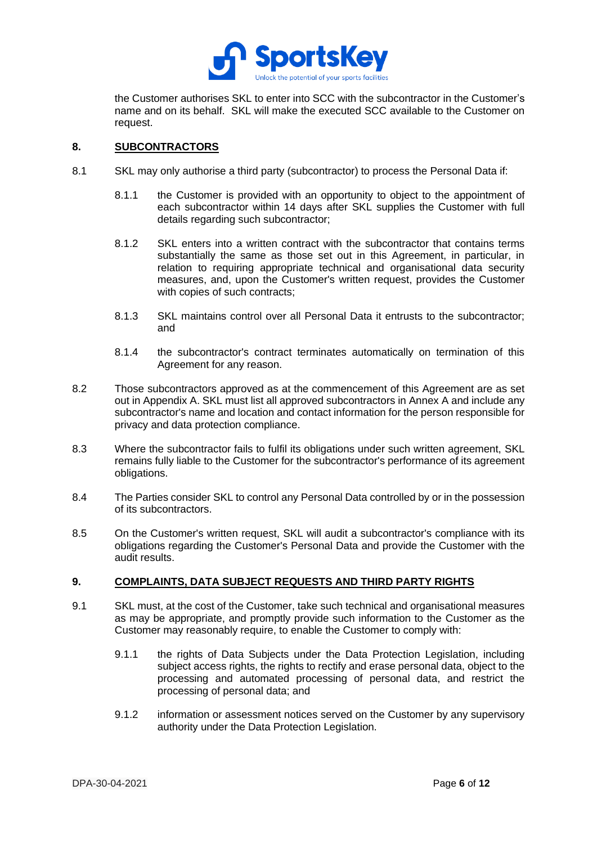

the Customer authorises SKL to enter into SCC with the subcontractor in the Customer's name and on its behalf. SKL will make the executed SCC available to the Customer on request.

# **8. SUBCONTRACTORS**

- 8.1 SKL may only authorise a third party (subcontractor) to process the Personal Data if:
	- 8.1.1 the Customer is provided with an opportunity to object to the appointment of each subcontractor within 14 days after SKL supplies the Customer with full details regarding such subcontractor;
	- 8.1.2 SKL enters into a written contract with the subcontractor that contains terms substantially the same as those set out in this Agreement, in particular, in relation to requiring appropriate technical and organisational data security measures, and, upon the Customer's written request, provides the Customer with copies of such contracts;
	- 8.1.3 SKL maintains control over all Personal Data it entrusts to the subcontractor; and
	- 8.1.4 the subcontractor's contract terminates automatically on termination of this Agreement for any reason.
- 8.2 Those subcontractors approved as at the commencement of this Agreement are as set out i[n Appendix A.](#page-10-0) SKL must list all approved subcontractors in Annex A and include any subcontractor's name and location and contact information for the person responsible for privacy and data protection compliance.
- 8.3 Where the subcontractor fails to fulfil its obligations under such written agreement, SKL remains fully liable to the Customer for the subcontractor's performance of its agreement obligations.
- 8.4 The Parties consider SKL to control any Personal Data controlled by or in the possession of its subcontractors.
- 8.5 On the Customer's written request, SKL will audit a subcontractor's compliance with its obligations regarding the Customer's Personal Data and provide the Customer with the audit results.

# **9. COMPLAINTS, DATA SUBJECT REQUESTS AND THIRD PARTY RIGHTS**

- 9.1 SKL must, at the cost of the Customer, take such technical and organisational measures as may be appropriate, and promptly provide such information to the Customer as the Customer may reasonably require, to enable the Customer to comply with:
	- 9.1.1 the rights of Data Subjects under the Data Protection Legislation, including subject access rights, the rights to rectify and erase personal data, object to the processing and automated processing of personal data, and restrict the processing of personal data; and
	- 9.1.2 information or assessment notices served on the Customer by any supervisory authority under the Data Protection Legislation.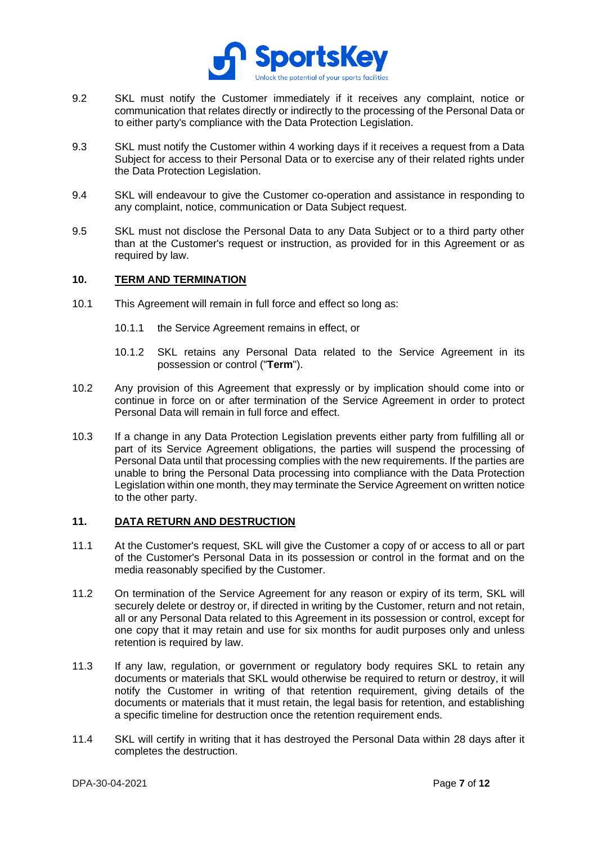

- 9.2 SKL must notify the Customer immediately if it receives any complaint, notice or communication that relates directly or indirectly to the processing of the Personal Data or to either party's compliance with the Data Protection Legislation.
- 9.3 SKL must notify the Customer within 4 working days if it receives a request from a Data Subject for access to their Personal Data or to exercise any of their related rights under the Data Protection Legislation.
- 9.4 SKL will endeavour to give the Customer co-operation and assistance in responding to any complaint, notice, communication or Data Subject request.
- 9.5 SKL must not disclose the Personal Data to any Data Subject or to a third party other than at the Customer's request or instruction, as provided for in this Agreement or as required by law.

# **10. TERM AND TERMINATION**

- 10.1 This Agreement will remain in full force and effect so long as:
	- 10.1.1 the Service Agreement remains in effect, or
	- 10.1.2 SKL retains any Personal Data related to the Service Agreement in its possession or control ("**Term**").
- 10.2 Any provision of this Agreement that expressly or by implication should come into or continue in force on or after termination of the Service Agreement in order to protect Personal Data will remain in full force and effect.
- 10.3 If a change in any Data Protection Legislation prevents either party from fulfilling all or part of its Service Agreement obligations, the parties will suspend the processing of Personal Data until that processing complies with the new requirements. If the parties are unable to bring the Personal Data processing into compliance with the Data Protection Legislation within one month, they may terminate the Service Agreement on written notice to the other party.

# **11. DATA RETURN AND DESTRUCTION**

- 11.1 At the Customer's request, SKL will give the Customer a copy of or access to all or part of the Customer's Personal Data in its possession or control in the format and on the media reasonably specified by the Customer.
- 11.2 On termination of the Service Agreement for any reason or expiry of its term, SKL will securely delete or destroy or, if directed in writing by the Customer, return and not retain, all or any Personal Data related to this Agreement in its possession or control, except for one copy that it may retain and use for six months for audit purposes only and unless retention is required by law.
- 11.3 If any law, regulation, or government or regulatory body requires SKL to retain any documents or materials that SKL would otherwise be required to return or destroy, it will notify the Customer in writing of that retention requirement, giving details of the documents or materials that it must retain, the legal basis for retention, and establishing a specific timeline for destruction once the retention requirement ends.
- 11.4 SKL will certify in writing that it has destroyed the Personal Data within 28 days after it completes the destruction.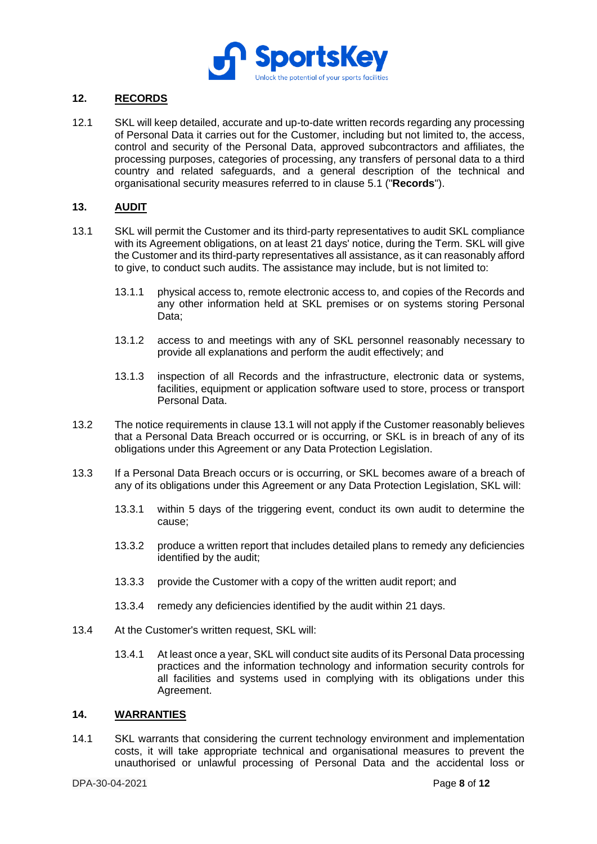

# **12. RECORDS**

12.1 SKL will keep detailed, accurate and up-to-date written records regarding any processing of Personal Data it carries out for the Customer, including but not limited to, the access, control and security of the Personal Data, approved subcontractors and affiliates, the processing purposes, categories of processing, any transfers of personal data to a third country and related safeguards, and a general description of the technical and organisational security measures referred to in clause [5.1](#page-3-0) ("**Records**").

# **13. AUDIT**

- <span id="page-7-0"></span>13.1 SKL will permit the Customer and its third-party representatives to audit SKL compliance with its Agreement obligations, on at least 21 days' notice, during the Term. SKL will give the Customer and its third-party representatives all assistance, as it can reasonably afford to give, to conduct such audits. The assistance may include, but is not limited to:
	- 13.1.1 physical access to, remote electronic access to, and copies of the Records and any other information held at SKL premises or on systems storing Personal Data;
	- 13.1.2 access to and meetings with any of SKL personnel reasonably necessary to provide all explanations and perform the audit effectively; and
	- 13.1.3 inspection of all Records and the infrastructure, electronic data or systems, facilities, equipment or application software used to store, process or transport Personal Data.
- 13.2 The notice requirements in clause [13.1](#page-7-0) will not apply if the Customer reasonably believes that a Personal Data Breach occurred or is occurring, or SKL is in breach of any of its obligations under this Agreement or any Data Protection Legislation.
- 13.3 If a Personal Data Breach occurs or is occurring, or SKL becomes aware of a breach of any of its obligations under this Agreement or any Data Protection Legislation, SKL will:
	- 13.3.1 within 5 days of the triggering event, conduct its own audit to determine the cause;
	- 13.3.2 produce a written report that includes detailed plans to remedy any deficiencies identified by the audit;
	- 13.3.3 provide the Customer with a copy of the written audit report; and
	- 13.3.4 remedy any deficiencies identified by the audit within 21 days.
- 13.4 At the Customer's written request, SKL will:
	- 13.4.1 At least once a year, SKL will conduct site audits of its Personal Data processing practices and the information technology and information security controls for all facilities and systems used in complying with its obligations under this Agreement.

#### **14. WARRANTIES**

14.1 SKL warrants that considering the current technology environment and implementation costs, it will take appropriate technical and organisational measures to prevent the unauthorised or unlawful processing of Personal Data and the accidental loss or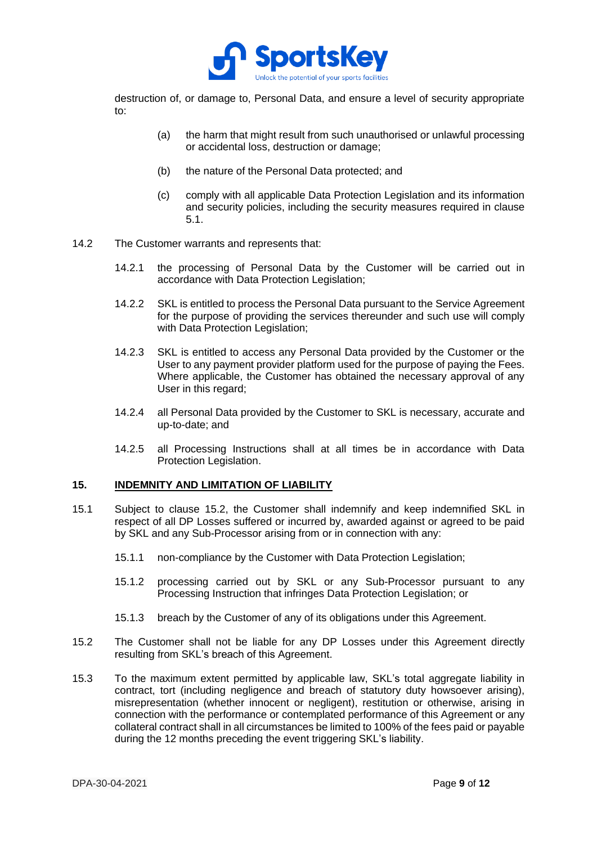

destruction of, or damage to, Personal Data, and ensure a level of security appropriate to:

- (a) the harm that might result from such unauthorised or unlawful processing or accidental loss, destruction or damage;
- (b) the nature of the Personal Data protected; and
- (c) comply with all applicable Data Protection Legislation and its information and security policies, including the security measures required in clause [5.1.](#page-3-0)
- 14.2 The Customer warrants and represents that:
	- 14.2.1 the processing of Personal Data by the Customer will be carried out in accordance with Data Protection Legislation;
	- 14.2.2 SKL is entitled to process the Personal Data pursuant to the Service Agreement for the purpose of providing the services thereunder and such use will comply with Data Protection Legislation;
	- 14.2.3 SKL is entitled to access any Personal Data provided by the Customer or the User to any payment provider platform used for the purpose of paying the Fees. Where applicable, the Customer has obtained the necessary approval of any User in this regard;
	- 14.2.4 all Personal Data provided by the Customer to SKL is necessary, accurate and up-to-date; and
	- 14.2.5 all Processing Instructions shall at all times be in accordance with Data Protection Legislation.

#### **15. INDEMNITY AND LIMITATION OF LIABILITY**

- 15.1 Subject to clause [15.2,](#page-8-0) the Customer shall indemnify and keep indemnified SKL in respect of all DP Losses suffered or incurred by, awarded against or agreed to be paid by SKL and any Sub-Processor arising from or in connection with any:
	- 15.1.1 non-compliance by the Customer with Data Protection Legislation;
	- 15.1.2 processing carried out by SKL or any Sub-Processor pursuant to any Processing Instruction that infringes Data Protection Legislation; or
	- 15.1.3 breach by the Customer of any of its obligations under this Agreement.
- <span id="page-8-0"></span>15.2 The Customer shall not be liable for any DP Losses under this Agreement directly resulting from SKL's breach of this Agreement.
- 15.3 To the maximum extent permitted by applicable law, SKL's total aggregate liability in contract, tort (including negligence and breach of statutory duty howsoever arising), misrepresentation (whether innocent or negligent), restitution or otherwise, arising in connection with the performance or contemplated performance of this Agreement or any collateral contract shall in all circumstances be limited to 100% of the fees paid or payable during the 12 months preceding the event triggering SKL's liability.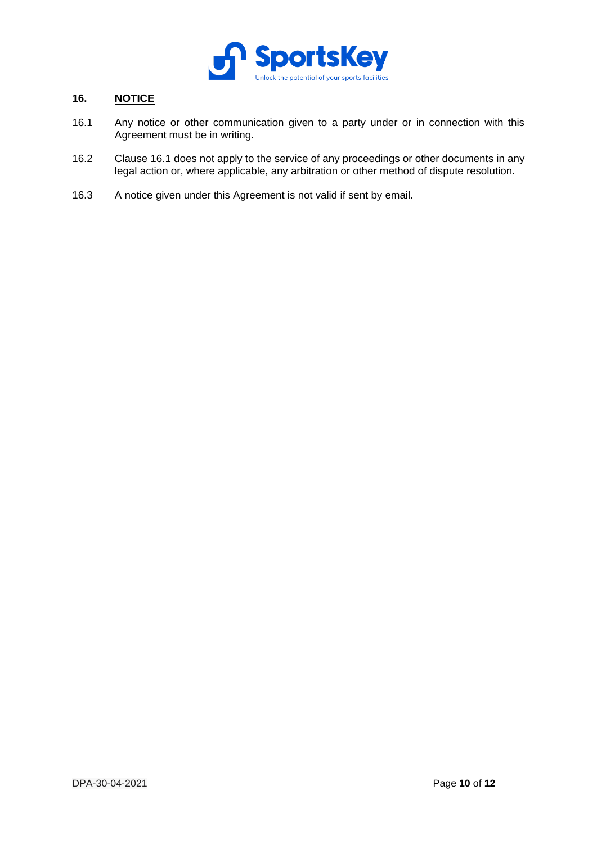

# **16. NOTICE**

- <span id="page-9-0"></span>16.1 Any notice or other communication given to a party under or in connection with this Agreement must be in writing.
- 16.2 Clause [16.1](#page-9-0) does not apply to the service of any proceedings or other documents in any legal action or, where applicable, any arbitration or other method of dispute resolution.
- 16.3 A notice given under this Agreement is not valid if sent by email.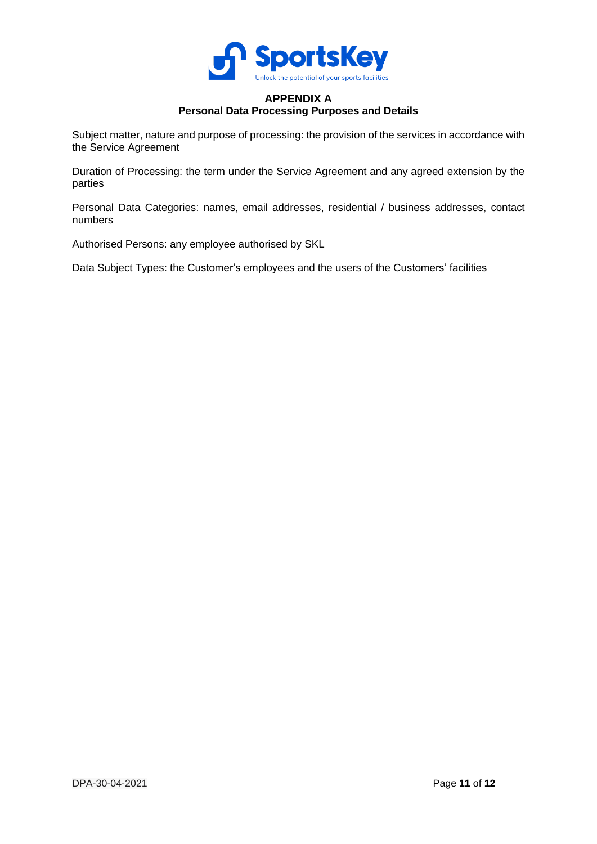

# **APPENDIX A Personal Data Processing Purposes and Details**

<span id="page-10-0"></span>Subject matter, nature and purpose of processing: the provision of the services in accordance with the Service Agreement

Duration of Processing: the term under the Service Agreement and any agreed extension by the parties

Personal Data Categories: names, email addresses, residential / business addresses, contact numbers

Authorised Persons: any employee authorised by SKL

Data Subject Types: the Customer's employees and the users of the Customers' facilities